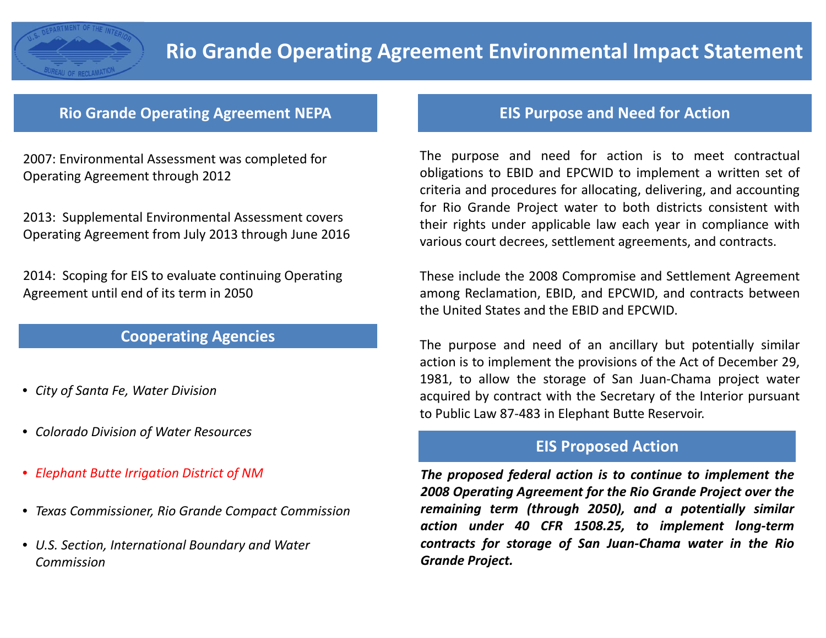

## **Rio Grande Operating Agreement NEPA**

2007: Environmental Assessment was completed for Operating Agreement through 2012

2013: Supplemental Environmental Assessment covers Operating Agreement from July 2013 through June 2016

2014: Scoping for EIS to evaluate continuing Operating Agreement until end of its term in 2050

## **Cooperating Agencies**

- *City of Santa Fe, Water Division*
- *Colorado Division of Water Resources*
- *Elephant Butte Irrigation District of NM*
- *Texas Commissioner, Rio Grande Compact Commission*
- *U.S. Section, International Boundary and Water Commission*

## **EIS Purpose and Need for Action**

The purpose and need for action is to meet contractual obligations to EBID and EPCWID to implement <sup>a</sup> written set of criteria and procedures for allocating, delivering, and accounting for Rio Grande Project water to both districts consistent with their rights under applicable law each year in compliance with various court decrees, settlement agreements, and contracts.

These include the 2008 Compromise and Settlement Agreement among Reclamation, EBID, and EPCWID, and contracts between the United States and the EBID and EPCWID.

The purpose and need of an ancillary but potentially similar action is to implement the provisions of the Act of December 29, 1981, to allow the storage of San Juan-Chama project water acquired by contract with the Secretary of the Interior pursuant to Public Law 87‐483 in Elephant Butte Reservoir.

## **EIS Proposed Action**

*The proposed federal action is to continue to implement the 2008 Operating Agreement for the Rio Grande Project over the remaining term (through 2050), and <sup>a</sup> potentially similar action under 40 CFR 1508.25, to implement long‐term contracts for storage of San Juan‐Chama water in the Rio Grande Project.*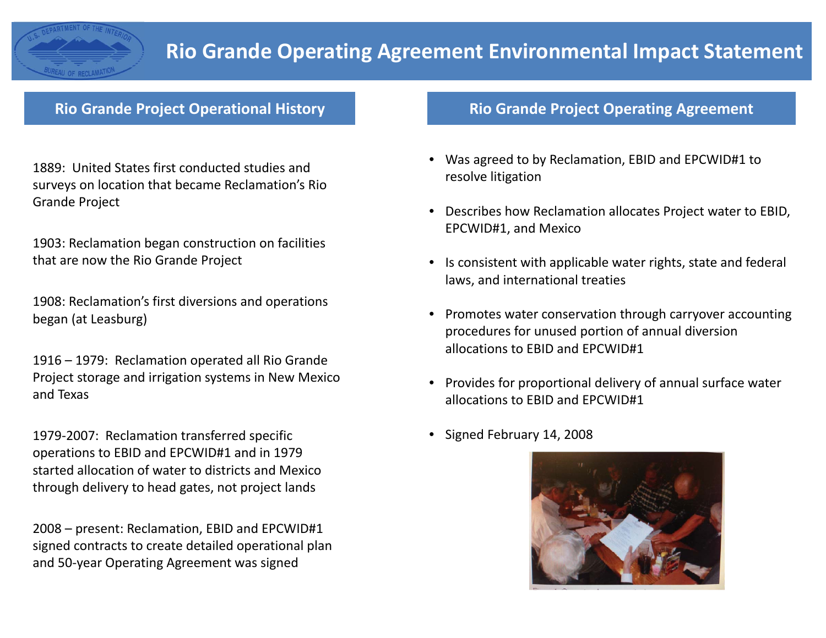

## **Rio Grande Project Operational History**

1889: United States first conducted studies and surveys on location that became Reclamation's Rio Grande Project

1903: Reclamation began construction on facilities that are now the Rio Grande Project

1908: Reclamation's first diversions and operations began (at Leasburg)

1916 – 1979: Reclamation operated all Rio Grande Project storage and irrigation systems in New Mexico and Texas

1979‐2007: Reclamation transferred specific operations to EBID and EPCWID#1 and in 1979 started allocation of water to districts and Mexico through delivery to head gates, not project lands

2008 – present: Reclamation, EBID and EPCWID#1 signed contracts to create detailed operational plan and 50‐year Operating Agreement was signed

## **Rio Grande Project Operating Agreement**

- Was agreed to by Reclamation, EBID and EPCWID#1 to resolve litigation
- Describes how Reclamation allocates Project water to EBID, EPCWID#1, and Mexico
- Is consistent with applicable water rights, state and federal laws, and international treaties
- Promotes water conservation through carryover accounting procedures for unused portion of annual diversion allocations to EBID and EPCWID#1
- Provides for proportional delivery of annual surface water allocations to EBID and EPCWID#1
- Signed February 14, 2008

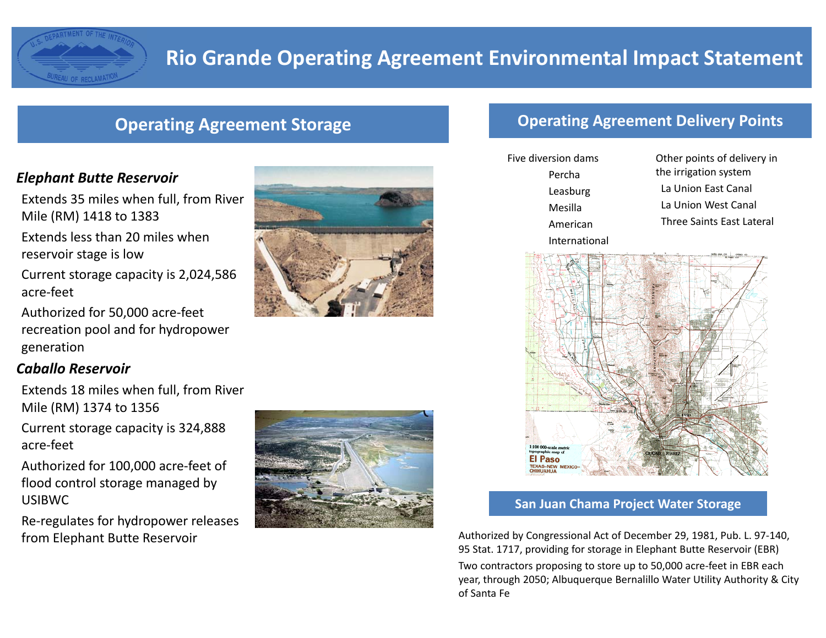

## **Operating Agreement Storage**

#### *Elephant Butte Reservoir*

**EAU OF RECLAMAT** 

Extends 35 miles when full, from River Mile (RM) 1418 to 1383

Extends less than 20 miles when reservoir stage is low

Current storage capacity is 2,024,586 acre‐feet

Authorized for 50,000 acre‐feet recreation pool and for hydropower generation

#### *Caballo Reservoir*

Extends 18 miles when full, from River Mile (RM) 1374 to 1356

Current storage capacity is 324,888 acre‐feet

Authorized for 100,000 acre‐feet of flood control storage managed by USIBWC

Re‐regulates for hydropower releases from Elephant Butte Reservoir





## **Operating Agreement Delivery Points**

Five diversion dams PerchaLeasburg MesillaAmericanInternational

Other points of delivery in the irrigation system La Union East Canal La Union West Canal Three Saints East Lateral



#### **San Juan Chama Project Water Storage**

Authorized by Congressional Act of December 29, 1981, Pub. L. 97‐140, 95 Stat. 1717, providing for storage in Elephant Butte Reservoir (EBR) Two contractors proposing to store up to 50,000 acre‐feet in EBR each year, through 2050; Albuquerque Bernalillo Water Utility Authority & City of Santa Fe